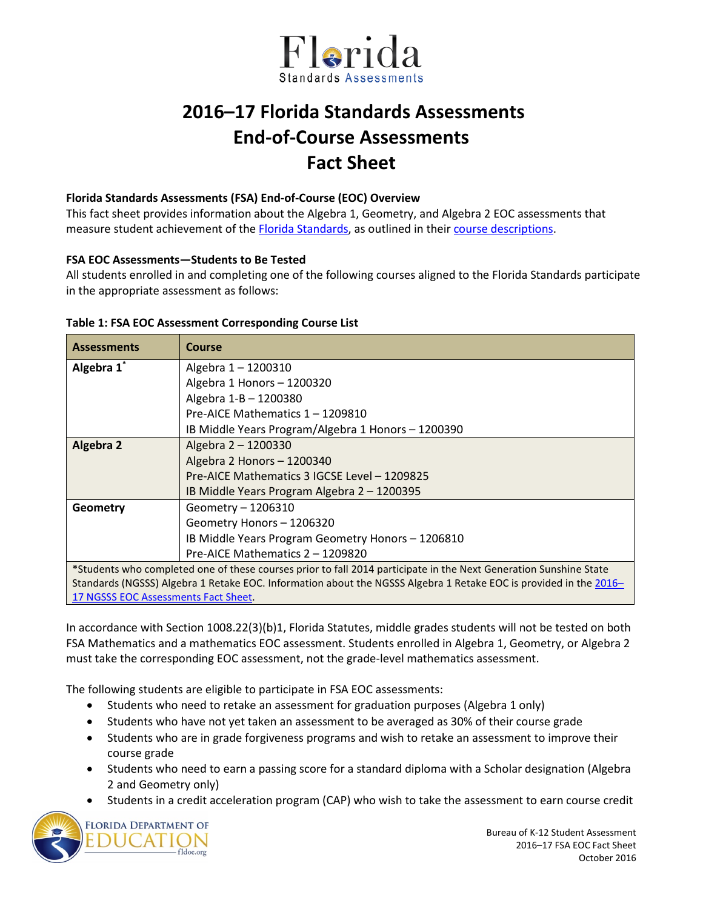

# **2016–17 Florida Standards Assessments End-of-Course Assessments Fact Sheet**

## **Florida Standards Assessments (FSA) End-of-Course (EOC) Overview**

This fact sheet provides information about the Algebra 1, Geometry, and Algebra 2 EOC assessments that measure student achievement of th[e Florida Standards,](http://www.cpalms.org/Public/) as outlined in their [course descriptions.](http://www.cpalms.org/Public/search/Course#0)

## **FSA EOC Assessments—Students to Be Tested**

All students enrolled in and completing one of the following courses aligned to the Florida Standards participate in the appropriate assessment as follows:

## **Table 1: FSA EOC Assessment Corresponding Course List**

| <b>Assessments</b>                                                                                                | Course                                             |  |  |  |  |  |  |
|-------------------------------------------------------------------------------------------------------------------|----------------------------------------------------|--|--|--|--|--|--|
| Algebra 1*                                                                                                        | Algebra 1-1200310                                  |  |  |  |  |  |  |
|                                                                                                                   | Algebra 1 Honors - 1200320                         |  |  |  |  |  |  |
|                                                                                                                   | Algebra 1-B - 1200380                              |  |  |  |  |  |  |
|                                                                                                                   | Pre-AICF Mathematics 1 - 1209810                   |  |  |  |  |  |  |
|                                                                                                                   | IB Middle Years Program/Algebra 1 Honors - 1200390 |  |  |  |  |  |  |
| Algebra 2                                                                                                         | Algebra 2 - 1200330                                |  |  |  |  |  |  |
|                                                                                                                   | Algebra 2 Honors - 1200340                         |  |  |  |  |  |  |
|                                                                                                                   | Pre-AICE Mathematics 3 IGCSE Level - 1209825       |  |  |  |  |  |  |
|                                                                                                                   | IB Middle Years Program Algebra 2 - 1200395        |  |  |  |  |  |  |
| Geometry                                                                                                          | Geometry - 1206310                                 |  |  |  |  |  |  |
|                                                                                                                   | Geometry Honors - 1206320                          |  |  |  |  |  |  |
|                                                                                                                   | IB Middle Years Program Geometry Honors - 1206810  |  |  |  |  |  |  |
|                                                                                                                   | Pre-AICE Mathematics 2 - 1209820                   |  |  |  |  |  |  |
| *Students who completed one of these courses prior to fall 2014 participate in the Next Generation Sunshine State |                                                    |  |  |  |  |  |  |
| Standards (NGSSS) Algebra 1 Retake EOC. Information about the NGSSS Algebra 1 Retake EOC is provided in the 2016– |                                                    |  |  |  |  |  |  |
| 17 NGSSS EOC Assessments Fact Sheet.                                                                              |                                                    |  |  |  |  |  |  |

In accordance with Section 1008.22(3)(b)1, Florida Statutes, middle grades students will not be tested on both FSA Mathematics and a mathematics EOC assessment. Students enrolled in Algebra 1, Geometry, or Algebra 2 must take the corresponding EOC assessment, not the grade-level mathematics assessment.

The following students are eligible to participate in FSA EOC assessments:

- Students who need to retake an assessment for graduation purposes (Algebra 1 only)
- Students who have not yet taken an assessment to be averaged as 30% of their course grade
- Students who are in grade forgiveness programs and wish to retake an assessment to improve their course grade
- Students who need to earn a passing score for a standard diploma with a Scholar designation (Algebra 2 and Geometry only)
- Students in a credit acceleration program (CAP) who wish to take the assessment to earn course credit



Bureau of K-12 Student Assessment 2016–17 FSA EOC Fact Sheet October 2016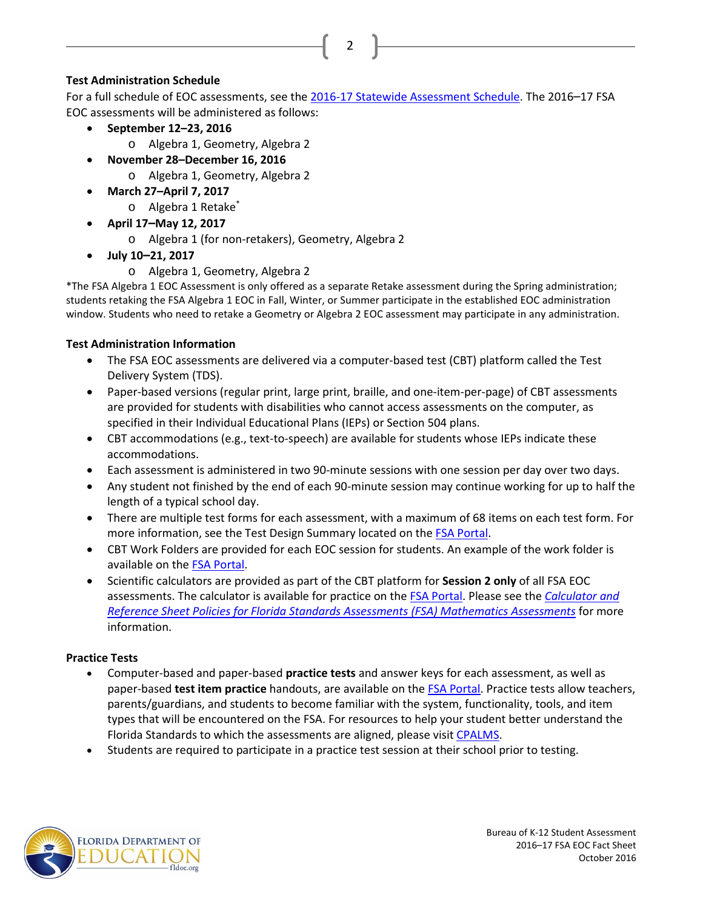# **Test Administration Schedule**

For a full schedule of EOC assessments, see the [2016-17 Statewide Assessment Schedule.](http://info.fldoe.org/docushare/dsweb/Get/Document-7514/dps-2015-175a.pdf) The 2016–17 FSA EOC assessments will be administered as follows:

2

- **September 12–23, 2016**
	- o Algebra 1, Geometry, Algebra 2
- **November 28–December 16, 2016**
	- o Algebra 1, Geometry, Algebra 2
- **March 27–April 7, 2017**
	- o Algebra 1 Retake\*
	- **April 17–May 12, 2017**
		- o Algebra 1 (for non-retakers), Geometry, Algebra 2
- **July 10–21, 2017**
	- o Algebra 1, Geometry, Algebra 2

\*The FSA Algebra 1 EOC Assessment is only offered as a separate Retake assessment during the Spring administration; students retaking the FSA Algebra 1 EOC in Fall, Winter, or Summer participate in the established EOC administration window. Students who need to retake a Geometry or Algebra 2 EOC assessment may participate in any administration.

# **Test Administration Information**

- The FSA EOC assessments are delivered via a computer-based test (CBT) platform called the Test Delivery System (TDS).
- Paper-based versions (regular print, large print, braille, and one-item-per-page) of CBT assessments are provided for students with disabilities who cannot access assessments on the computer, as specified in their Individual Educational Plans (IEPs) or Section 504 plans.
- CBT accommodations (e.g., text-to-speech) are available for students whose IEPs indicate these accommodations.
- Each assessment is administered in two 90-minute sessions with one session per day over two days.
- Any student not finished by the end of each 90-minute session may continue working for up to half the length of a typical school day.
- There are multiple test forms for each assessment, with a maximum of 68 items on each test form. For more information, see the Test Design Summary located on the **FSA Portal**.
- CBT Work Folders are provided for each EOC session for students. An example of the work folder is available on the [FSA Portal.](http://fsassessments.org/)
- Scientific calculators are provided as part of the CBT platform for **Session 2 only** of all FSA EOC assessments. The calculator is available for practice on the [FSA Portal.](http://www.fsassessments.org/) Please see the *[Calculator and](http://www.fsassessments.org/wp-content/uploads/2014/06/FSA-Calculator-and-Reference-Sheet-Policy-Updated-07062016.pdf)  [Reference Sheet Policies for Florida Standards Assessments \(FSA\) Mathematics Assessments](http://www.fsassessments.org/wp-content/uploads/2014/06/FSA-Calculator-and-Reference-Sheet-Policy-Updated-07062016.pdf)* for more information.

# **Practice Tests**

- Computer-based and paper-based **practice tests** and answer keys for each assessment, as well as paper-based **test item practice** handouts, are available on the [FSA Portal.](http://fsassessments.org/) Practice tests allow teachers, parents/guardians, and students to become familiar with the system, functionality, tools, and item types that will be encountered on the FSA. For resources to help your student better understand the Florida Standards to which the assessments are aligned, please visi[t CPALMS.](http://www.floridastandards.org/)
- Students are required to participate in a practice test session at their school prior to testing.